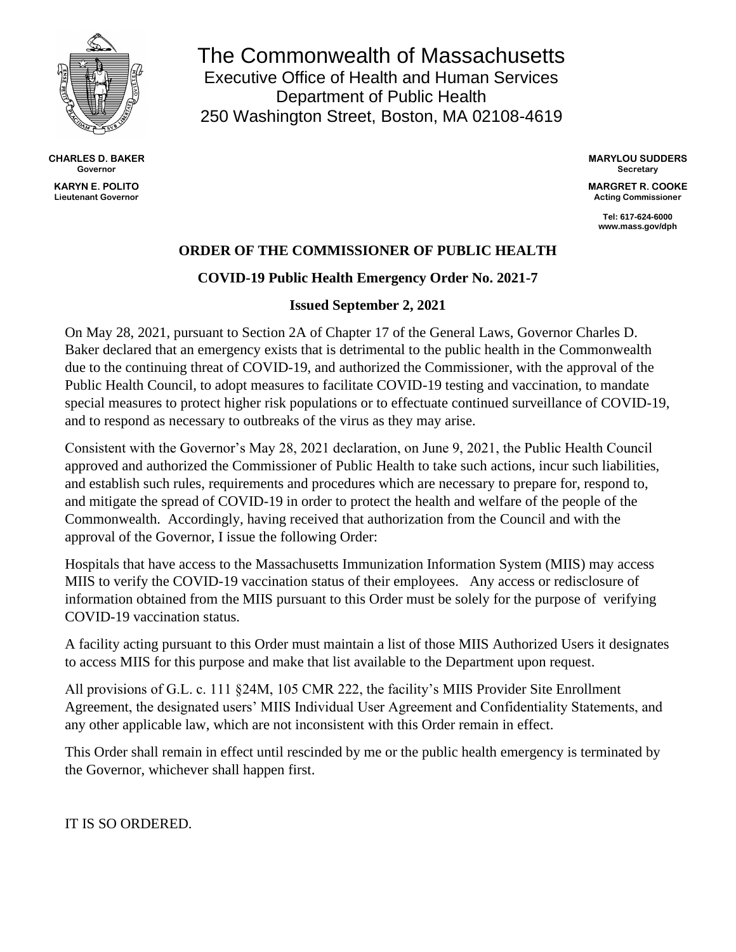

**CHARLES D. BAKER Governor KARYN E. POLITO Lieutenant Governor**

The Commonwealth of Massachusetts Executive Office of Health and Human Services Department of Public Health 250 Washington Street, Boston, MA 02108-4619

> **MARYLOU SUDDERS Secretary**

**MARGRET R. COOKE Acting Commissioner**

> **Tel: 617-624-6000 www.mass.gov/dph**

## **ORDER OF THE COMMISSIONER OF PUBLIC HEALTH**

## **COVID-19 Public Health Emergency Order No. 2021-7**

## **Issued September 2, 2021**

On May 28, 2021, pursuant to Section 2A of Chapter 17 of the General Laws, Governor Charles D. Baker declared that an emergency exists that is detrimental to the public health in the Commonwealth due to the continuing threat of COVID-19, and authorized the Commissioner, with the approval of the Public Health Council, to adopt measures to facilitate COVID-19 testing and vaccination, to mandate special measures to protect higher risk populations or to effectuate continued surveillance of COVID-19, and to respond as necessary to outbreaks of the virus as they may arise.

Consistent with the Governor's May 28, 2021 declaration, on June 9, 2021, the Public Health Council approved and authorized the Commissioner of Public Health to take such actions, incur such liabilities, and establish such rules, requirements and procedures which are necessary to prepare for, respond to, and mitigate the spread of COVID-19 in order to protect the health and welfare of the people of the Commonwealth. Accordingly, having received that authorization from the Council and with the approval of the Governor, I issue the following Order:

Hospitals that have access to the Massachusetts Immunization Information System (MIIS) may access MIIS to verify the COVID-19 vaccination status of their employees. Any access or redisclosure of information obtained from the MIIS pursuant to this Order must be solely for the purpose of verifying COVID-19 vaccination status.

A facility acting pursuant to this Order must maintain a list of those MIIS Authorized Users it designates to access MIIS for this purpose and make that list available to the Department upon request.

All provisions of G.L. c. 111 §24M, 105 CMR 222, the facility's MIIS Provider Site Enrollment Agreement, the designated users' MIIS Individual User Agreement and Confidentiality Statements, and any other applicable law, which are not inconsistent with this Order remain in effect.

This Order shall remain in effect until rescinded by me or the public health emergency is terminated by the Governor, whichever shall happen first.

IT IS SO ORDERED.